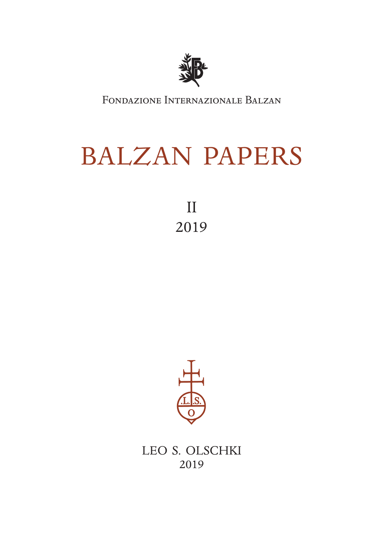

Fondazione Internazionale Balzan

# BALZAN PAPERS

II 2019



LEO S. OLSCHKI 2019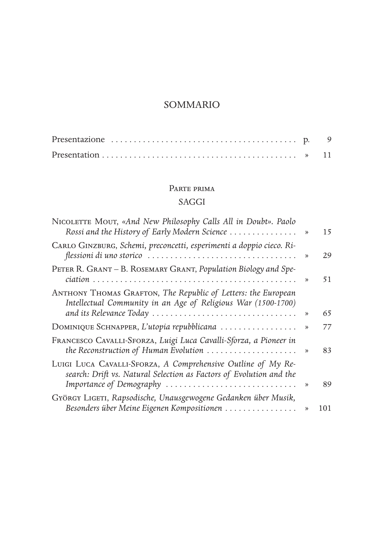#### PARTE PRIMA

## SAGGI

| NICOLETTE MOUT, «And New Philosophy Calls All in Doubt». Paolo<br>Rossi and the History of Early Modern Science                                                 | ) | 15  |
|-----------------------------------------------------------------------------------------------------------------------------------------------------------------|---|-----|
| CARLO GINZBURG, Schemi, preconcetti, esperimenti a doppio cieco. Ri-                                                                                            | ) | 29  |
| PETER R. GRANT - B. ROSEMARY GRANT, Population Biology and Spe-                                                                                                 | ) | 51  |
| ANTHONY THOMAS GRAFTON, The Republic of Letters: the European<br>Intellectual Community in an Age of Religious War (1500-1700)<br>and its Relevance Today       | ) | 65  |
| DOMINIQUE SCHNAPPER, L'utopia repubblicana                                                                                                                      | ) | 77  |
| FRANCESCO CAVALLI-SFORZA, Luigi Luca Cavalli-Sforza, a Pioneer in<br>the Reconstruction of Human Evolution                                                      | ) | 83  |
| LUIGI LUCA CAVALLI-SFORZA, A Comprehensive Outline of My Re-<br>search: Drift vs. Natural Selection as Factors of Evolution and the<br>Importance of Demography | ) | 89  |
| GYÖRGY LIGETI, Rapsodische, Unausgewogene Gedanken über Musik,                                                                                                  |   |     |
| Besonders über Meine Eigenen Kompositionen                                                                                                                      | ) | 101 |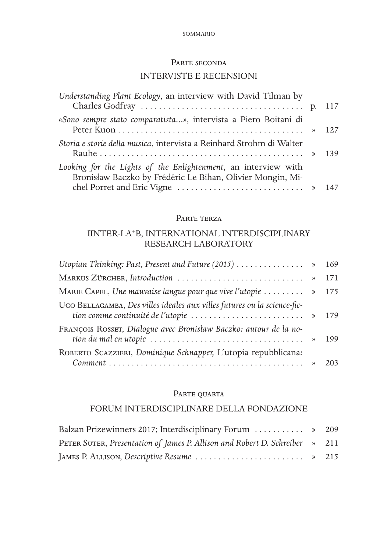# PARTE SECONDA INTERVISTE E RECENSIONI

| Understanding Plant Ecology, an interview with David Tilman by                                                               |  |
|------------------------------------------------------------------------------------------------------------------------------|--|
| «Sono sempre stato comparatista», intervista a Piero Boitani di                                                              |  |
| Storia e storie della musica, intervista a Reinhard Strohm di Walter                                                         |  |
| Looking for the Lights of the Enlightenment, an interview with<br>Bronisław Baczko by Frédéric Le Bihan, Olivier Mongin, Mi- |  |
|                                                                                                                              |  |

#### Parte terza

## IINTER-LA+B, INTERNATIONAL INTERDISCIPLINARY RESEARCH LABORATORY

|                                                                                                                                                                    | 169 |
|--------------------------------------------------------------------------------------------------------------------------------------------------------------------|-----|
|                                                                                                                                                                    | 171 |
| MARIE CAPEL, Une mauvaise langue pour que vive l'utopie $\dots \dots$                                                                                              | 175 |
| UGO BELLAGAMBA, Des villes ideales aux villes futures ou la science-fic-<br>tion comme continuité de l'utopie  » 179                                               |     |
| FRANÇOIS ROSSET, Dialogue avec Bronisław Baczko: autour de la no-<br>tion du mal en utopie $\ldots \ldots \ldots \ldots \ldots \ldots \ldots \ldots \ldots \ldots$ | 199 |
| ROBERTO SCAZZIERI, Dominique Schnapper, L'utopia repubblicana:                                                                                                     |     |
| $Comment \dots \dots \dots \dots \dots \dots \dots \dots \dots \dots \dots \dots \dots \dots \dots \dots \dots$                                                    | 203 |

## PARTE QUARTA

## FORUM INTERDISCIPLINARE DELLA FONDAZIONE

| Balzan Prizewinners 2017; Interdisciplinary Forum  » 209                    |  |
|-----------------------------------------------------------------------------|--|
| PETER SUTER, Presentation of James P. Allison and Robert D. Schreiber » 211 |  |
| JAMES P. ALLISON, Descriptive Resume  » 215                                 |  |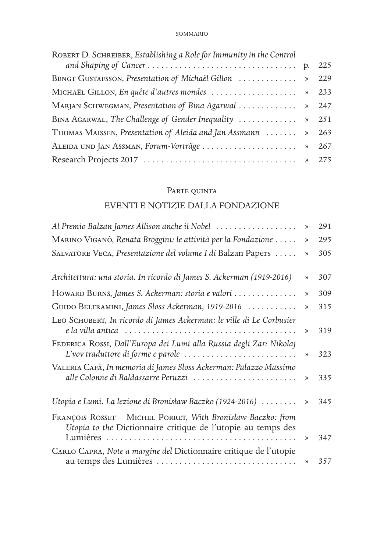| ROBERT D. SCHREIBER, Establishing a Role for Immunity in the Control |     |
|----------------------------------------------------------------------|-----|
|                                                                      |     |
| BENGT GUSTAFSSON, Presentation of Michaël Gillon  »                  | 229 |
| MICHAEL GILLON, En quête d'autres mondes  » 233                      |     |
| MARJAN SCHWEGMAN, Presentation of Bina Agarwal  » 247                |     |
| BINA AGARWAL, The Challenge of Gender Inequality  » 251              |     |
| THOMAS MAISSEN, Presentation of Aleida and Jan Assmann  » 263        |     |
| ALEIDA UND JAN ASSMAN, Forum-Vorträge  » 267                         |     |
|                                                                      |     |

# Parte quinta

## EVENTI E NOTIZIE DALLA FONDAZIONE

| Al Premio Balzan James Allison anche il Nobel                                                                                                                          | )             | 291 |
|------------------------------------------------------------------------------------------------------------------------------------------------------------------------|---------------|-----|
| MARINO VIGANÒ, Renata Broggini: le attività per la Fondazione                                                                                                          | $\gg$         | 295 |
| SALVATORE VECA, Presentazione del volume I di Balzan Papers                                                                                                            | )             | 305 |
| Architettura: una storia. In ricordo di James S. Ackerman (1919-2016)                                                                                                  | $\gg$         | 307 |
| HOWARD BURNS, James S. Ackerman: storia e valori                                                                                                                       | )             | 309 |
| GUIDO BELTRAMINI, James Sloss Ackerman, 1919-2016                                                                                                                      | $\mathcal{D}$ | 315 |
| LEO SCHUBERT, In ricordo di James Ackerman: le ville di Le Corbusier                                                                                                   | )             | 319 |
| FEDERICA ROSSI, Dall'Europa dei Lumi alla Russia degli Zar: Nikolaj<br>$L'$ vov traduttore di forme e parole $\ldots \ldots \ldots \ldots \ldots \ldots \ldots \ldots$ | )             | 323 |
| VALERIA CAFÀ, In memoria di James Sloss Ackerman: Palazzo Massimo<br>alle Colonne di Baldassarre Peruzzi                                                               | )             | 335 |
| Utopia e Lumi. La lezione di Bronisław Baczko (1924-2016)                                                                                                              | )             | 345 |
| FRANÇOIS ROSSET - MICHEL PORRET, With Bronisław Baczko: from<br>Utopia to the Dictionnaire critique de l'utopie au temps des                                           |               |     |
|                                                                                                                                                                        | )             | 347 |
| CARLO CAPRA, Note a margine del Dictionnaire critique de l'utopie                                                                                                      | )             | 357 |